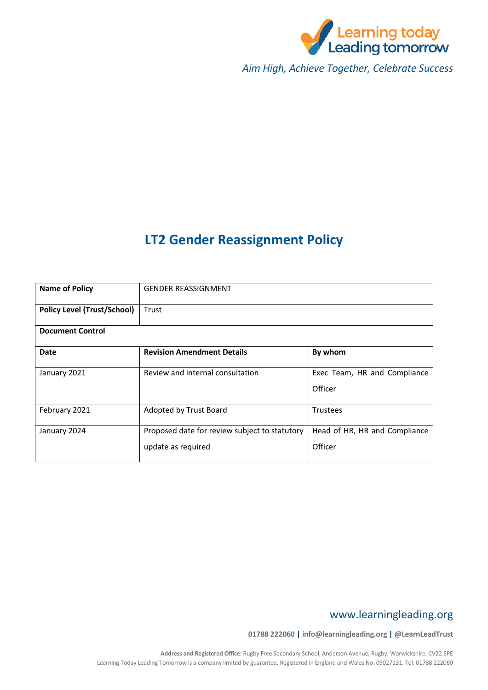

*Aim High, Achieve Together, Celebrate Success*

# **LT2 Gender Reassignment Policy**

| <b>Name of Policy</b>              | <b>GENDER REASSIGNMENT</b>                                          |                                          |  |
|------------------------------------|---------------------------------------------------------------------|------------------------------------------|--|
| <b>Policy Level (Trust/School)</b> | Trust                                                               |                                          |  |
| <b>Document Control</b>            |                                                                     |                                          |  |
| Date                               | <b>Revision Amendment Details</b>                                   | By whom                                  |  |
| January 2021                       | Review and internal consultation                                    | Exec Team, HR and Compliance<br>Officer  |  |
| February 2021                      | Adopted by Trust Board                                              | <b>Trustees</b>                          |  |
| January 2024                       | Proposed date for review subject to statutory<br>update as required | Head of HR, HR and Compliance<br>Officer |  |

# www.learningleading.org

**01788 222060 | info@learningleading.org | @LearnLeadTrust**

**Address and Registered Office:** Rugby Free Secondary School, Anderson Avenue, Rugby, Warwickshire, CV22 5PE Learning Today Leading Tomorrow is a company limited by guarantee. Registered in England and Wales No: 09027131. Tel: 01788 222060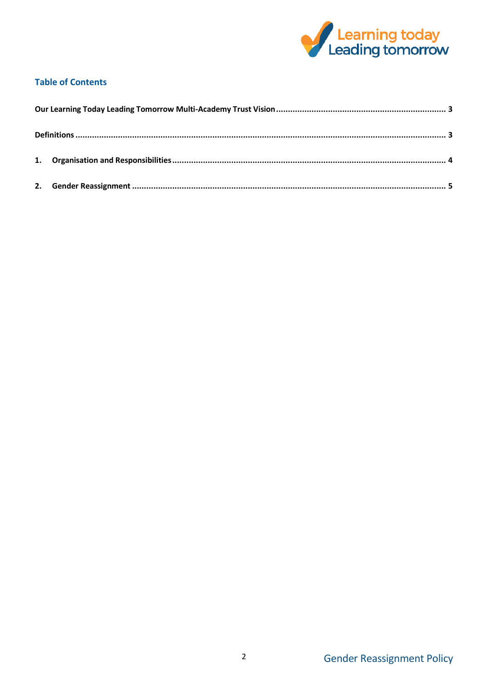

## **Table of Contents**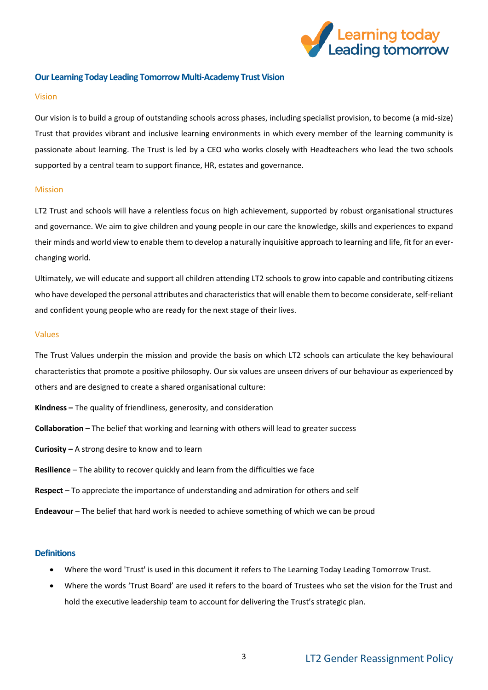

### <span id="page-2-0"></span>**Our Learning Today Leading Tomorrow Multi-Academy Trust Vision**

#### Vision

Our vision is to build a group of outstanding schools across phases, including specialist provision, to become (a mid-size) Trust that provides vibrant and inclusive learning environments in which every member of the learning community is passionate about learning. The Trust is led by a CEO who works closely with Headteachers who lead the two schools supported by a central team to support finance, HR, estates and governance.

### Mission

LT2 Trust and schools will have a relentless focus on high achievement, supported by robust organisational structures and governance. We aim to give children and young people in our care the knowledge, skills and experiences to expand their minds and world view to enable them to develop a naturally inquisitive approach to learning and life, fit for an everchanging world.

Ultimately, we will educate and support all children attending LT2 schools to grow into capable and contributing citizens who have developed the personal attributes and characteristics that will enable them to become considerate, self-reliant and confident young people who are ready for the next stage of their lives.

#### Values

The Trust Values underpin the mission and provide the basis on which LT2 schools can articulate the key behavioural characteristics that promote a positive philosophy. Our six values are unseen drivers of our behaviour as experienced by others and are designed to create a shared organisational culture:

- **Kindness –** The quality of friendliness, generosity, and consideration
- **Collaboration** The belief that working and learning with others will lead to greater success
- **Curiosity –** A strong desire to know and to learn
- **Resilience** The ability to recover quickly and learn from the difficulties we face
- **Respect** To appreciate the importance of understanding and admiration for others and self
- **Endeavour** The belief that hard work is needed to achieve something of which we can be proud

### <span id="page-2-1"></span>**Definitions**

- Where the word 'Trust' is used in this document it refers to The Learning Today Leading Tomorrow Trust.
- Where the words 'Trust Board' are used it refers to the board of Trustees who set the vision for the Trust and hold the executive leadership team to account for delivering the Trust's strategic plan.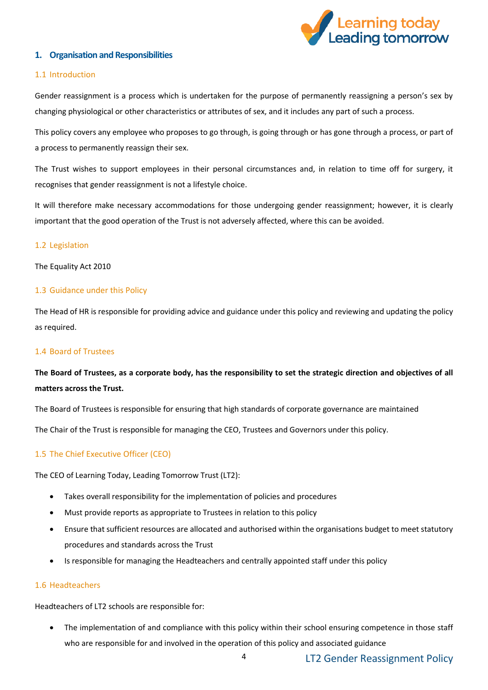

### <span id="page-3-0"></span>**1. Organisation and Responsibilities**

### 1.1 Introduction

Gender reassignment is a process which is undertaken for the purpose of permanently reassigning a person's sex by changing physiological or other characteristics or attributes of sex, and it includes any part of such a process.

This policy covers any employee who proposes to go through, is going through or has gone through a process, or part of a process to permanently reassign their sex.

The Trust wishes to support employees in their personal circumstances and, in relation to time off for surgery, it recognises that gender reassignment is not a lifestyle choice.

It will therefore make necessary accommodations for those undergoing gender reassignment; however, it is clearly important that the good operation of the Trust is not adversely affected, where this can be avoided.

### 1.2 Legislation

The Equality Act 2010

### 1.3 Guidance under this Policy

The Head of HR is responsible for providing advice and guidance under this policy and reviewing and updating the policy as required.

### 1.4 Board of Trustees

# **The Board of Trustees, as a corporate body, has the responsibility to set the strategic direction and objectives of all matters across the Trust.**

The Board of Trustees is responsible for ensuring that high standards of corporate governance are maintained The Chair of the Trust is responsible for managing the CEO, Trustees and Governors under this policy.

### 1.5 The Chief Executive Officer (CEO)

The CEO of Learning Today, Leading Tomorrow Trust (LT2):

- Takes overall responsibility for the implementation of policies and procedures
- Must provide reports as appropriate to Trustees in relation to this policy
- Ensure that sufficient resources are allocated and authorised within the organisations budget to meet statutory procedures and standards across the Trust
- Is responsible for managing the Headteachers and centrally appointed staff under this policy

### 1.6 Headteachers

Headteachers of LT2 schools are responsible for:

 The implementation of and compliance with this policy within their school ensuring competence in those staff who are responsible for and involved in the operation of this policy and associated guidance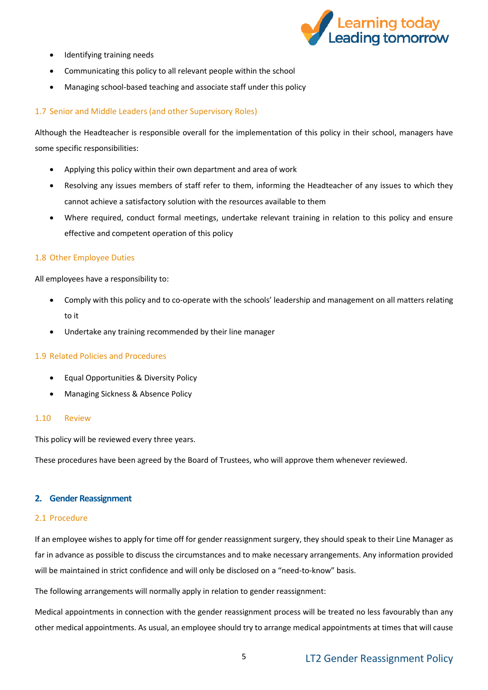

- Identifying training needs
- Communicating this policy to all relevant people within the school
- Managing school-based teaching and associate staff under this policy

### 1.7 Senior and Middle Leaders (and other Supervisory Roles)

Although the Headteacher is responsible overall for the implementation of this policy in their school, managers have some specific responsibilities:

- Applying this policy within their own department and area of work
- Resolving any issues members of staff refer to them, informing the Headteacher of any issues to which they cannot achieve a satisfactory solution with the resources available to them
- Where required, conduct formal meetings, undertake relevant training in relation to this policy and ensure effective and competent operation of this policy

### 1.8 Other Employee Duties

All employees have a responsibility to:

- Comply with this policy and to co-operate with the schools' leadership and management on all matters relating to it
- Undertake any training recommended by their line manager

### 1.9 Related Policies and Procedures

- Equal Opportunities & Diversity Policy
- Managing Sickness & Absence Policy

### 1.10 Review

This policy will be reviewed every three years.

These procedures have been agreed by the Board of Trustees, who will approve them whenever reviewed.

### <span id="page-4-0"></span>**2. Gender Reassignment**

### 2.1 Procedure

If an employee wishes to apply for time off for gender reassignment surgery, they should speak to their Line Manager as far in advance as possible to discuss the circumstances and to make necessary arrangements. Any information provided will be maintained in strict confidence and will only be disclosed on a "need-to-know" basis.

The following arrangements will normally apply in relation to gender reassignment:

Medical appointments in connection with the gender reassignment process will be treated no less favourably than any other medical appointments. As usual, an employee should try to arrange medical appointments at times that will cause